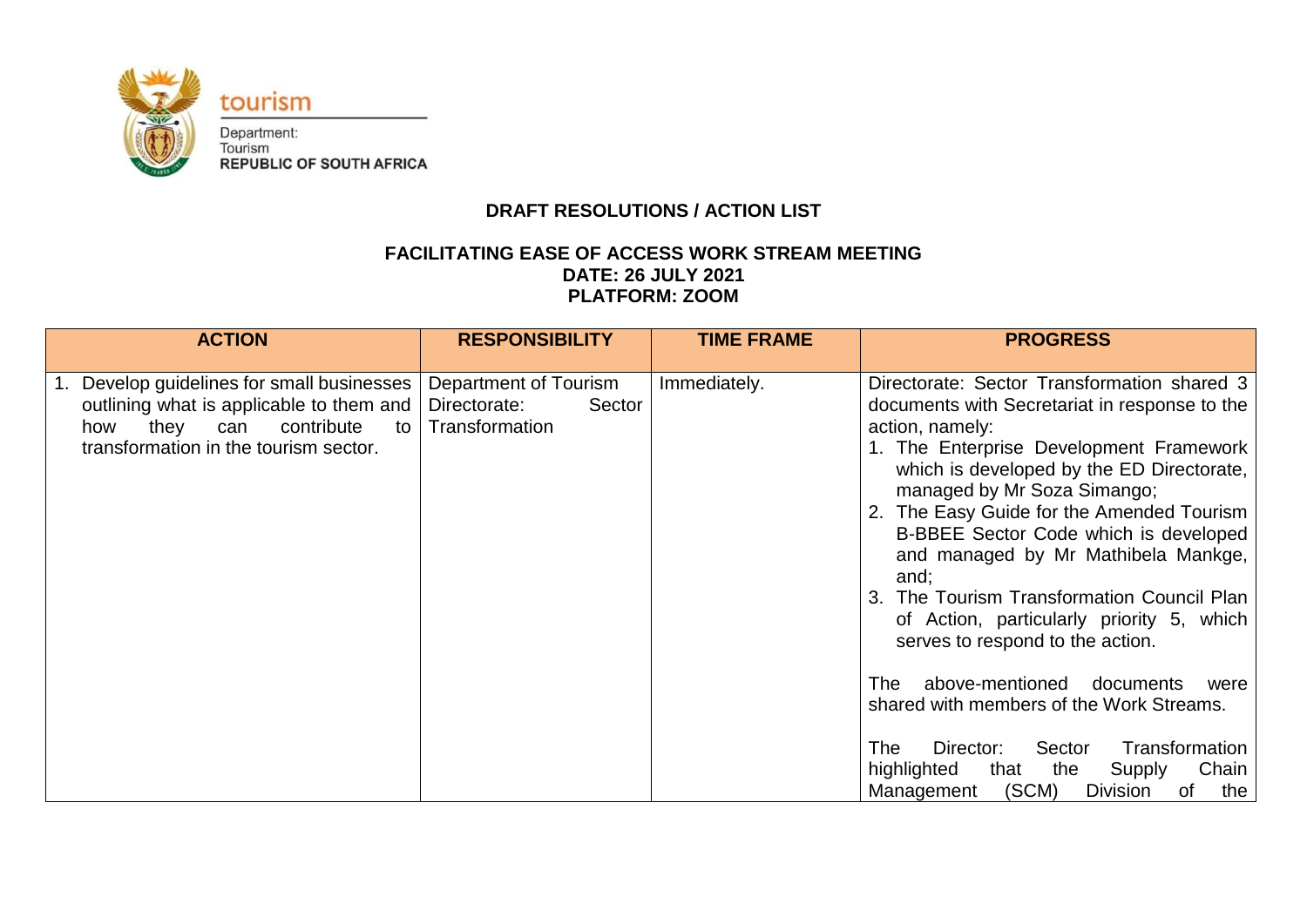

# **DRAFT RESOLUTIONS / ACTION LIST**

## **FACILITATING EASE OF ACCESS WORK STREAM MEETING DATE: 26 JULY 2021 PLATFORM: ZOOM**

| <b>ACTION</b>                                                                                                                                                             | <b>RESPONSIBILITY</b>                                             | <b>TIME FRAME</b> | <b>PROGRESS</b>                                                                                                                                                                                                                                                                                                                                                                                                                                                                                                                                                                                                                                                                                                                                                      |
|---------------------------------------------------------------------------------------------------------------------------------------------------------------------------|-------------------------------------------------------------------|-------------------|----------------------------------------------------------------------------------------------------------------------------------------------------------------------------------------------------------------------------------------------------------------------------------------------------------------------------------------------------------------------------------------------------------------------------------------------------------------------------------------------------------------------------------------------------------------------------------------------------------------------------------------------------------------------------------------------------------------------------------------------------------------------|
| 1. Develop guidelines for small businesses<br>outlining what is applicable to them and<br>they<br>contribute<br>can<br>how<br>to<br>transformation in the tourism sector. | Department of Tourism<br>Directorate:<br>Sector<br>Transformation | Immediately.      | Directorate: Sector Transformation shared 3<br>documents with Secretariat in response to the<br>action, namely:<br>1. The Enterprise Development Framework<br>which is developed by the ED Directorate,<br>managed by Mr Soza Simango;<br>2. The Easy Guide for the Amended Tourism<br>B-BBEE Sector Code which is developed<br>and managed by Mr Mathibela Mankge,<br>and;<br>3. The Tourism Transformation Council Plan<br>of Action, particularly priority 5, which<br>serves to respond to the action.<br>above-mentioned<br>documents<br>The<br>were<br>shared with members of the Work Streams.<br>Transformation<br><b>The</b><br>Sector<br>Director:<br>highlighted<br>Chain<br>that<br>the<br>Supply<br>(SCM)<br>Management<br><b>Division</b><br>the<br>of |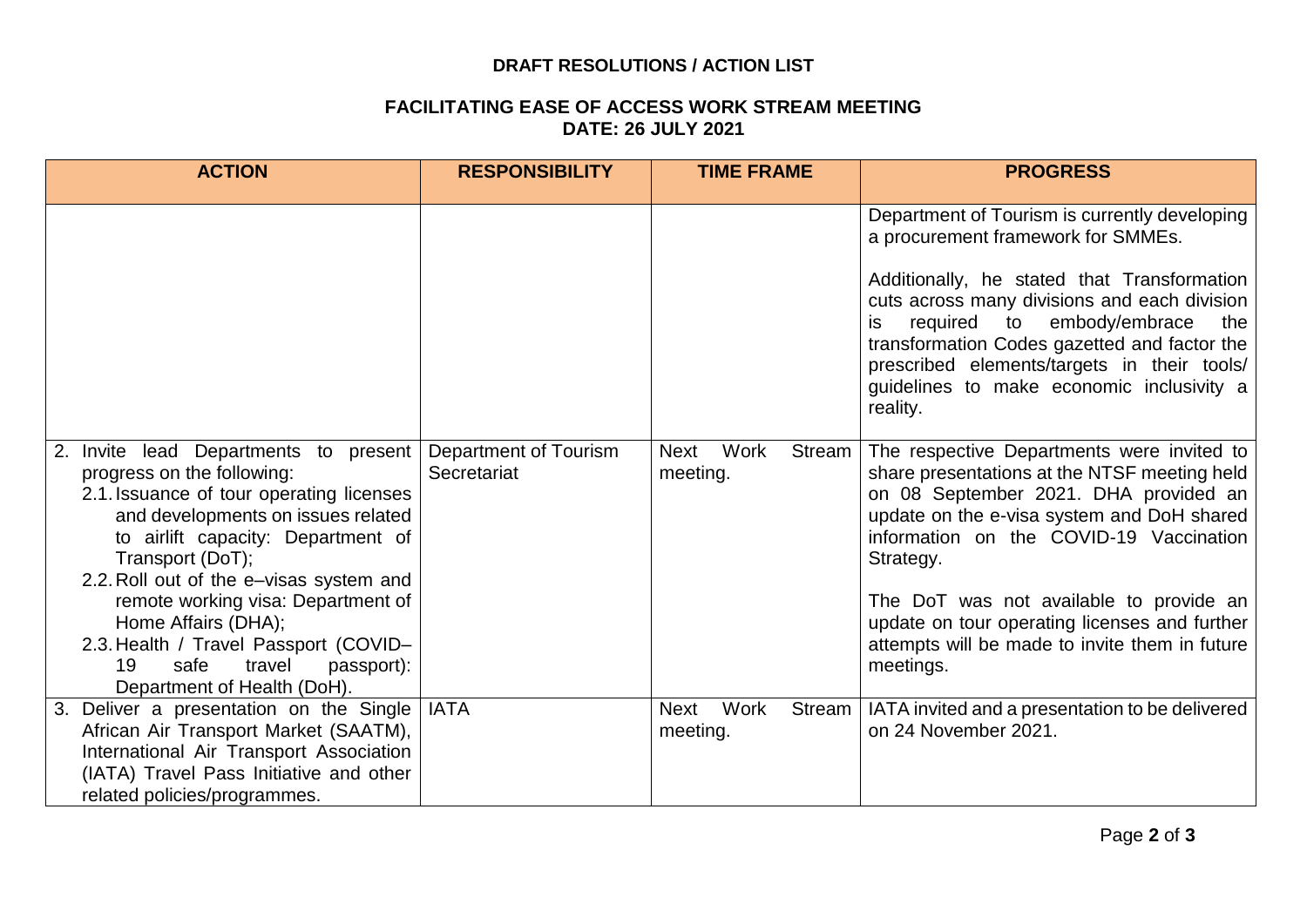#### **DRAFT RESOLUTIONS / ACTION LIST**

#### **FACILITATING EASE OF ACCESS WORK STREAM MEETING DATE: 26 JULY 2021**

| <b>ACTION</b>                                                                                                                                                                                                                                                                                                        | <b>RESPONSIBILITY</b>                | <b>TIME FRAME</b>                         | <b>PROGRESS</b>                                                                                                                                                                                                                                                                                                                                                                        |
|----------------------------------------------------------------------------------------------------------------------------------------------------------------------------------------------------------------------------------------------------------------------------------------------------------------------|--------------------------------------|-------------------------------------------|----------------------------------------------------------------------------------------------------------------------------------------------------------------------------------------------------------------------------------------------------------------------------------------------------------------------------------------------------------------------------------------|
|                                                                                                                                                                                                                                                                                                                      |                                      |                                           | Department of Tourism is currently developing<br>a procurement framework for SMMEs.<br>Additionally, he stated that Transformation<br>cuts across many divisions and each division<br>required to embody/embrace<br>the<br>is.<br>transformation Codes gazetted and factor the<br>prescribed elements/targets in their tools/<br>guidelines to make economic inclusivity a<br>reality. |
| Invite lead Departments to present<br>progress on the following:<br>2.1. Issuance of tour operating licenses<br>and developments on issues related<br>to airlift capacity: Department of<br>Transport (DoT);<br>2.2. Roll out of the e-visas system and<br>remote working visa: Department of<br>Home Affairs (DHA); | Department of Tourism<br>Secretariat | Work<br>Stream<br><b>Next</b><br>meeting. | The respective Departments were invited to<br>share presentations at the NTSF meeting held<br>on 08 September 2021. DHA provided an<br>update on the e-visa system and DoH shared<br>information on the COVID-19 Vaccination<br>Strategy.<br>The DoT was not available to provide an<br>update on tour operating licenses and further                                                  |
| 2.3. Health / Travel Passport (COVID-<br>19<br>safe<br>travel<br>passport):<br>Department of Health (DoH).                                                                                                                                                                                                           |                                      |                                           | attempts will be made to invite them in future<br>meetings.                                                                                                                                                                                                                                                                                                                            |
| 3. Deliver a presentation on the Single<br>African Air Transport Market (SAATM),<br>International Air Transport Association<br>(IATA) Travel Pass Initiative and other<br>related policies/programmes.                                                                                                               | <b>IATA</b>                          | Work<br><b>Next</b><br>Stream<br>meeting. | IATA invited and a presentation to be delivered<br>on 24 November 2021.                                                                                                                                                                                                                                                                                                                |